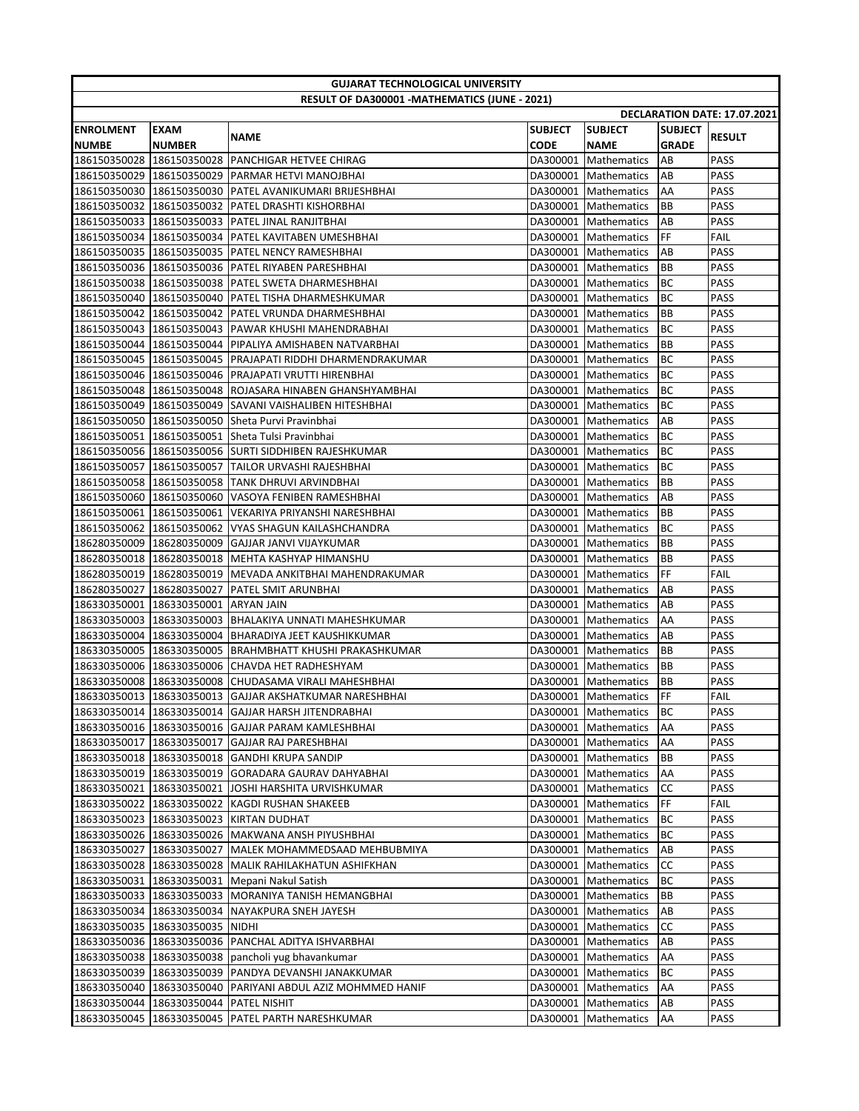|                                               |               | <b>GUJARAT TECHNOLOGICAL UNIVERSITY</b>                         |                |                        |                |                              |
|-----------------------------------------------|---------------|-----------------------------------------------------------------|----------------|------------------------|----------------|------------------------------|
| RESULT OF DA300001 -MATHEMATICS (JUNE - 2021) |               |                                                                 |                |                        |                |                              |
|                                               |               |                                                                 |                |                        |                | DECLARATION DATE: 17.07.2021 |
| <b>ENROLMENT</b>                              | EXAM          | <b>NAME</b>                                                     | <b>SUBJECT</b> | <b>SUBJECT</b>         | <b>SUBJECT</b> | <b>RESULT</b>                |
| <b>NUMBE</b>                                  | <b>NUMBER</b> |                                                                 | <b>CODE</b>    | <b>NAME</b>            | <b>GRADE</b>   |                              |
|                                               |               | 186150350028 186150350028 PANCHIGAR HETVEE CHIRAG               |                | DA300001 Mathematics   | AB             | <b>PASS</b>                  |
|                                               |               | 186150350029 186150350029 PARMAR HETVI MANOJBHAI                |                | DA300001   Mathematics | AB             | <b>PASS</b>                  |
|                                               |               | 186150350030   186150350030   PATEL AVANIKUMARI BRIJESHBHAI     |                | DA300001 Mathematics   | AA             | <b>PASS</b>                  |
|                                               |               | 186150350032   186150350032   PATEL DRASHTI KISHORBHAI          |                | DA300001 Mathematics   | BB             | <b>PASS</b>                  |
|                                               |               | 186150350033 186150350033 PATEL JINAL RANJITBHAI                |                | DA300001 Mathematics   | AB             | PASS                         |
|                                               |               | 186150350034   186150350034   PATEL KAVITABEN UMESHBHAI         |                | DA300001 Mathematics   | FF             | <b>FAIL</b>                  |
|                                               |               | 186150350035   186150350035   PATEL NENCY RAMESHBHAI            |                | DA300001 Mathematics   | AB             | <b>PASS</b>                  |
|                                               |               | 186150350036   186150350036   PATEL RIYABEN PARESHBHAI          |                | DA300001 Mathematics   | BB             | <b>PASS</b>                  |
|                                               |               | 186150350038   186150350038   PATEL SWETA DHARMESHBHAI          |                | DA300001 Mathematics   | BC             | <b>PASS</b>                  |
|                                               |               | 186150350040   186150350040   PATEL TISHA DHARMESHKUMAR         |                | DA300001 Mathematics   | BC             | <b>PASS</b>                  |
|                                               |               | 186150350042   186150350042   PATEL VRUNDA DHARMESHBHAI         |                | DA300001   Mathematics | BB             | <b>PASS</b>                  |
|                                               |               | 186150350043   186150350043   PAWAR KHUSHI MAHENDRABHAI         |                | DA300001   Mathematics | BC             | PASS                         |
|                                               |               | 186150350044  186150350044  PIPALIYA AMISHABEN NATVARBHAI       |                | DA300001 Mathematics   | BB             | <b>PASS</b>                  |
|                                               |               | 186150350045 186150350045 PRAJAPATI RIDDHI DHARMENDRAKUMAR      |                | DA300001 Mathematics   | BC             | <b>PASS</b>                  |
|                                               |               | 186150350046 186150350046 PRAJAPATI VRUTTI HIRENBHAI            |                | DA300001 Mathematics   | BC             | <b>PASS</b>                  |
|                                               |               | 186150350048   186150350048   ROJASARA HINABEN GHANSHYAMBHAI    |                | DA300001   Mathematics | BC             | <b>PASS</b>                  |
|                                               |               | 186150350049   186150350049   SAVANI VAISHALIBEN HITESHBHAI     |                | DA300001 Mathematics   | BC             | PASS                         |
|                                               |               | 186150350050   186150350050   Sheta Purvi Pravinbhai            |                | DA300001 Mathematics   | AB             | <b>PASS</b>                  |
|                                               |               | 186150350051   186150350051 Sheta Tulsi Pravinbhai              |                | DA300001 Mathematics   | <b>BC</b>      | <b>PASS</b>                  |
|                                               |               | 186150350056 186150350056 SURTI SIDDHIBEN RAJESHKUMAR           |                | DA300001 Mathematics   | BC             | <b>PASS</b>                  |
|                                               |               | 186150350057 186150350057 TAILOR URVASHI RAJESHBHAI             |                | DA300001   Mathematics | BC             | <b>PASS</b>                  |
|                                               |               | 186150350058   186150350058   TANK DHRUVI ARVINDBHAI            |                | DA300001 Mathematics   | BB             | <b>PASS</b>                  |
|                                               |               | 186150350060   186150350060   VASOYA FENIBEN RAMESHBHAI         |                | DA300001 Mathematics   | AB             | PASS                         |
|                                               |               | 186150350061  186150350061  VEKARIYA PRIYANSHI NARESHBHAI       |                | DA300001 Mathematics   | BB             | <b>PASS</b>                  |
|                                               |               | 186150350062  186150350062   VYAS SHAGUN KAILASHCHANDRA         |                | DA300001 Mathematics   | BC             | <b>PASS</b>                  |
|                                               |               | 186280350009   186280350009   GAJJAR JANVI VIJAYKUMAR           |                | DA300001 Mathematics   | BB             | <b>PASS</b>                  |
|                                               |               | 186280350018   186280350018   MEHTA KASHYAP HIMANSHU            |                | DA300001 Mathematics   | BB             | PASS                         |
|                                               |               | 186280350019   186280350019   MEVADA ANKITBHAI MAHENDRAKUMAR    |                | DA300001 Mathematics   | FF             | FAIL                         |
|                                               |               | 186280350027   186280350027   PATEL SMIT ARUNBHAI               |                | DA300001 Mathematics   | AB             | <b>PASS</b>                  |
| 186330350001   186330350001   ARYAN JAIN      |               |                                                                 |                | DA300001 Mathematics   | AB             | <b>PASS</b>                  |
|                                               |               | 186330350003 186330350003 BHALAKIYA UNNATI MAHESHKUMAR          |                | DA300001 Mathematics   | AA             | <b>PASS</b>                  |
|                                               |               | 186330350004 186330350004 BHARADIYA JEET KAUSHIKKUMAR           |                | DA300001 Mathematics   | AB             | <b>PASS</b>                  |
|                                               |               | 186330350005   186330350005   BRAHMBHATT KHUSHI PRAKASHKUMAR    |                | DA300001 Mathematics   | BB             | PASS                         |
|                                               |               | 186330350006 186330350006 CHAVDA HET RADHESHYAM                 |                | DA300001 Mathematics   | BB             | PASS                         |
|                                               |               | 186330350008   186330350008   CHUDASAMA VIRALI MAHESHBHAI       |                | DA300001 Mathematics   | BB             | <b>PASS</b>                  |
|                                               |               | 186330350013 186330350013 GAJJAR AKSHATKUMAR NARESHBHAI         |                | DA300001 Mathematics   | <b>IFF</b>     | <b>FAIL</b>                  |
|                                               |               | 186330350014   186330350014 GAJJAR HARSH JITENDRABHAI           |                | DA300001 Mathematics   | BC             | <b>PASS</b>                  |
|                                               |               | 186330350016 186330350016 GAJJAR PARAM KAMLESHBHAI              |                | DA300001 Mathematics   | AA             | <b>PASS</b>                  |
|                                               |               | 186330350017   186330350017   GAJJAR RAJ PARESHBHAI             |                | DA300001 Mathematics   | AA             | PASS                         |
|                                               |               | 186330350018   186330350018 GANDHI KRUPA SANDIP                 |                | DA300001   Mathematics | BB             | PASS                         |
|                                               |               | 186330350019   186330350019   GORADARA GAURAV DAHYABHAI         |                | DA300001 Mathematics   | AA             | PASS                         |
|                                               |               | 186330350021   186330350021   JOSHI HARSHITA URVISHKUMAR        |                | DA300001 Mathematics   | <b>CC</b>      | PASS                         |
|                                               |               | 186330350022   186330350022   KAGDI RUSHAN SHAKEEB              |                | DA300001 Mathematics   | FF             | FAIL                         |
|                                               |               | 186330350023 186330350023 KIRTAN DUDHAT                         |                | DA300001 Mathematics   | BC             | PASS                         |
|                                               |               | 186330350026 186330350026 MAKWANA ANSH PIYUSHBHAI               |                | DA300001 Mathematics   | BC             | PASS                         |
|                                               |               | 186330350027   186330350027   MALEK MOHAMMEDSAAD MEHBUBMIYA     |                | DA300001 Mathematics   | AB             | PASS                         |
|                                               |               | 186330350028   186330350028   MALIK RAHILAKHATUN ASHIFKHAN      |                | DA300001 Mathematics   | <b>CC</b>      | PASS                         |
|                                               |               | 186330350031   186330350031   Mepani Nakul Satish               |                | DA300001 Mathematics   | BC             | PASS                         |
|                                               |               | 186330350033   186330350033   MORANIYA TANISH HEMANGBHAI        |                | DA300001 Mathematics   | <b>BB</b>      | PASS                         |
|                                               |               | 186330350034 186330350034 NAYAKPURA SNEH JAYESH                 |                | DA300001 Mathematics   | AB             | PASS                         |
| 186330350035   186330350035   NIDHI           |               |                                                                 |                | DA300001 Mathematics   | CC             | PASS                         |
|                                               |               | 186330350036 186330350036 PANCHAL ADITYA ISHVARBHAI             |                | DA300001 Mathematics   | AB             | PASS                         |
|                                               |               | 186330350038   186330350038   pancholi yug bhavankumar          |                | DA300001 Mathematics   | AA             | PASS                         |
|                                               |               | 186330350039   186330350039   PANDYA DEVANSHI JANAKKUMAR        |                | DA300001 Mathematics   | BC             | PASS                         |
|                                               |               | 186330350040   186330350040   PARIYANI ABDUL AZIZ MOHMMED HANIF |                | DA300001 Mathematics   | AA             | PASS                         |
| 186330350044 186330350044 PATEL NISHIT        |               |                                                                 |                | DA300001 Mathematics   | AB             | PASS                         |
|                                               |               | 186330350045  186330350045   PATEL PARTH NARESHKUMAR            |                | DA300001 Mathematics   | AA             | PASS                         |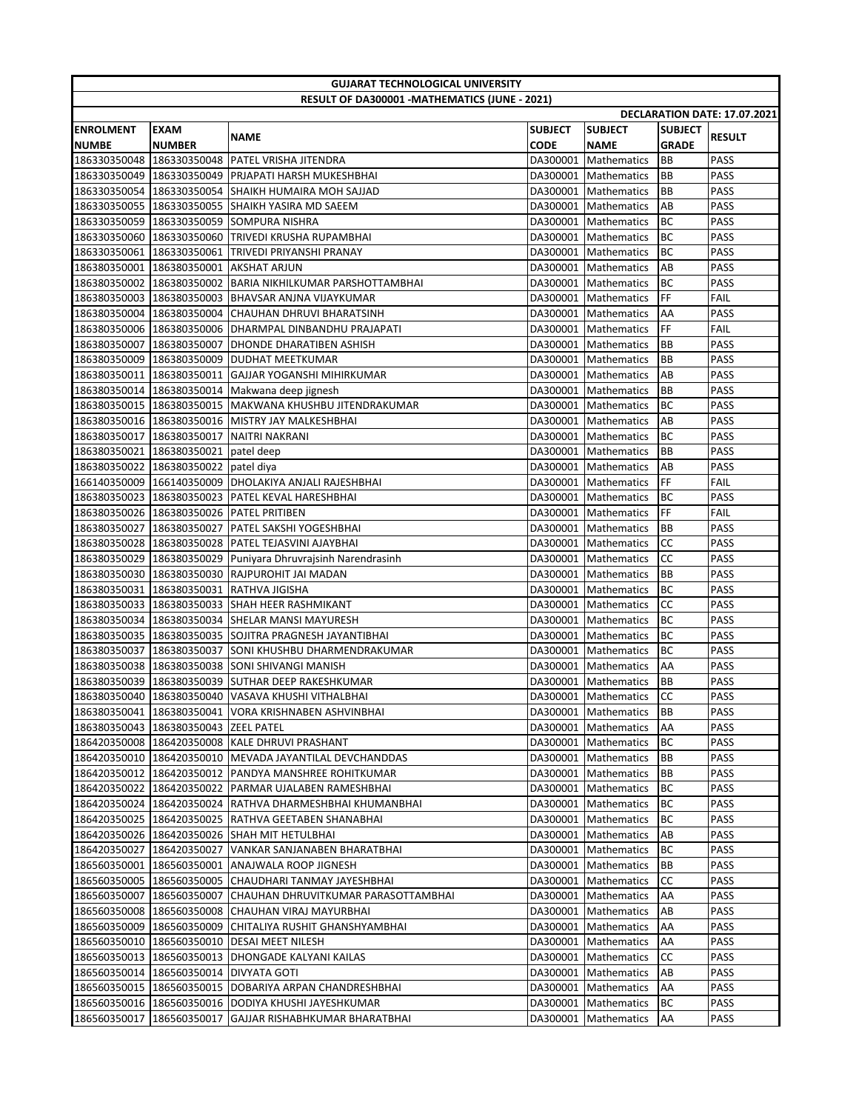| <b>GUJARAT TECHNOLOGICAL UNIVERSITY</b>       |               |                                                                                                                      |                |                                              |                |               |
|-----------------------------------------------|---------------|----------------------------------------------------------------------------------------------------------------------|----------------|----------------------------------------------|----------------|---------------|
| RESULT OF DA300001 -MATHEMATICS (JUNE - 2021) |               |                                                                                                                      |                |                                              |                |               |
| DECLARATION DATE: 17.07.2021                  |               |                                                                                                                      |                |                                              |                |               |
| <b>ENROLMENT</b>                              | <b>EXAM</b>   | <b>NAME</b>                                                                                                          | <b>SUBJECT</b> | <b>SUBJECT</b>                               | <b>SUBJECT</b> | <b>RESULT</b> |
| <b>NUMBE</b>                                  | <b>NUMBER</b> |                                                                                                                      | <b>CODE</b>    | <b>NAME</b>                                  | <b>GRADE</b>   |               |
|                                               |               | 186330350048   186330350048   PATEL VRISHA JITENDRA                                                                  |                | DA300001   Mathematics                       | BB             | <b>PASS</b>   |
|                                               |               | 186330350049   186330350049   PRJAPATI HARSH MUKESHBHAI                                                              |                | DA300001 Mathematics                         | <b>IBB</b>     | <b>PASS</b>   |
|                                               |               | 186330350054 186330350054 SHAIKH HUMAIRA MOH SAJJAD                                                                  |                | DA300001 Mathematics                         | <b>BB</b>      | <b>PASS</b>   |
|                                               |               | 186330350055 186330350055 SHAIKH YASIRA MD SAEEM                                                                     |                | DA300001 Mathematics                         | AB             | <b>PASS</b>   |
|                                               |               | 186330350059 186330350059 SOMPURA NISHRA                                                                             |                | DA300001 Mathematics                         | BC             | <b>PASS</b>   |
|                                               |               | 186330350060   186330350060   TRIVEDI KRUSHA RUPAMBHAI                                                               |                | DA300001   Mathematics                       | <b>BC</b>      | PASS          |
|                                               |               | 186330350061   186330350061   TRIVEDI PRIYANSHI PRANAY                                                               |                | DA300001 Mathematics                         | <b>BC</b>      | PASS          |
| 186380350001 186380350001 AKSHAT ARJUN        |               |                                                                                                                      |                | DA300001 Mathematics                         | AB             | PASS          |
|                                               |               | 186380350002 186380350002 BARIA NIKHILKUMAR PARSHOTTAMBHAI                                                           |                | DA300001   Mathematics                       | <b>BC</b>      | <b>PASS</b>   |
|                                               |               | 186380350003 186380350003 BHAVSAR ANJNA VIJAYKUMAR                                                                   |                | DA300001 Mathematics                         | FF             | <b>FAIL</b>   |
|                                               |               | 186380350004 186380350004 CHAUHAN DHRUVI BHARATSINH                                                                  |                | DA300001 Mathematics                         | AA             | PASS          |
|                                               |               | 186380350006 186380350006 DHARMPAL DINBANDHU PRAJAPATI                                                               |                | DA300001 Mathematics                         | FF             | FAIL          |
|                                               |               | 186380350007   186380350007   DHONDE DHARATIBEN ASHISH                                                               |                | DA300001 Mathematics                         | BB             | <b>PASS</b>   |
|                                               |               | 186380350009 186380350009 DUDHAT MEETKUMAR                                                                           |                | DA300001 Mathematics                         | <b>BB</b>      | PASS          |
|                                               |               | 186380350011 186380350011 GAJJAR YOGANSHI MIHIRKUMAR                                                                 |                | DA300001 Mathematics                         | AB             | <b>PASS</b>   |
|                                               |               | 186380350014 186380350014 Makwana deep jignesh                                                                       |                | DA300001 Mathematics                         | BB             | <b>PASS</b>   |
|                                               |               | 186380350015   186380350015   MAKWANA KHUSHBU JITENDRAKUMAR                                                          |                | DA300001 Mathematics                         | BC             | PASS          |
|                                               |               | 186380350016  186380350016   MISTRY JAY MALKESHBHAI                                                                  |                | DA300001 Mathematics                         | AB             | PASS          |
|                                               |               | 186380350017   186380350017   NAITRI NAKRANI                                                                         |                | DA300001 Mathematics                         | <b>BC</b>      | PASS          |
| 186380350021 186380350021 patel deep          |               |                                                                                                                      |                | DA300001 Mathematics                         | BB             | <b>PASS</b>   |
| 186380350022 186380350022 patel diya          |               |                                                                                                                      |                | DA300001 Mathematics                         | AB             | PASS          |
|                                               |               | 166140350009 166140350009 DHOLAKIYA ANJALI RAJESHBHAI                                                                |                | DA300001 Mathematics                         | FF             | <b>FAIL</b>   |
|                                               |               | 186380350023   186380350023   PATEL KEVAL HARESHBHAI                                                                 |                | DA300001 Mathematics                         | <b>BC</b>      | <b>PASS</b>   |
|                                               |               | 186380350026   186380350026   PATEL PRITIBEN                                                                         |                | DA300001 Mathematics                         | FF             | <b>FAIL</b>   |
|                                               |               | 186380350027 186380350027 PATEL SAKSHI YOGESHBHAI                                                                    |                | DA300001 Mathematics                         | <b>BB</b>      | PASS          |
|                                               |               | 186380350028 186380350028 PATEL TEJASVINI AJAYBHAI                                                                   |                | DA300001 Mathematics                         | <b>CC</b>      | <b>PASS</b>   |
|                                               |               | 186380350029 186380350029 Puniyara Dhruvrajsinh Narendrasinh                                                         |                | DA300001 Mathematics                         | <b>CC</b>      | PASS          |
|                                               |               | 186380350030 186380350030 RAJPUROHIT JAI MADAN                                                                       |                | DA300001   Mathematics                       | BB             | PASS          |
|                                               |               | 186380350031   186380350031   RATHVA JIGISHA                                                                         |                | DA300001   Mathematics                       | BC             | PASS          |
|                                               |               | 186380350033   186380350033   SHAH HEER RASHMIKANT                                                                   |                | DA300001 Mathematics                         | <b>CC</b>      | PASS          |
|                                               |               | 186380350034 186380350034 SHELAR MANSI MAYURESH                                                                      |                | DA300001 Mathematics                         | BC             | PASS          |
|                                               |               | 186380350035 186380350035 SOJITRA PRAGNESH JAYANTIBHAI                                                               |                | DA300001 Mathematics                         | BC             | PASS          |
|                                               |               | 186380350037 186380350037 SONI KHUSHBU DHARMENDRAKUMAR                                                               |                | DA300001 Mathematics                         | BC             | PASS          |
|                                               |               | 186380350038 186380350038 SONI SHIVANGI MANISH                                                                       |                | DA300001 Mathematics                         | AA             | PASS          |
|                                               |               | 186380350039 186380350039 SUTHAR DEEP RAKESHKUMAR                                                                    |                | DA300001   Mathematics                       | BB             | PASS          |
|                                               |               | 186380350040 186380350040 VASAVA KHUSHI VITHALBHAI                                                                   |                | DA300001 Mathematics                         | <b>CC</b>      | PASS          |
|                                               |               | 186380350041   186380350041   VORA KRISHNABEN ASHVINBHAI                                                             |                | DA300001 Mathematics                         | <b>IBB</b>     | <b>PASS</b>   |
| 186380350043 186380350043 ZEEL PATEL          |               | 186420350008 186420350008 KALE DHRUVI PRASHANT                                                                       |                | DA300001 Mathematics<br>DA300001 Mathematics | AA             | PASS          |
|                                               |               |                                                                                                                      |                |                                              | BC             | PASS          |
|                                               |               | 186420350010   186420350010   MEVADA JAYANTILAL DEVCHANDDAS                                                          |                | DA300001 Mathematics                         | BB<br>BB       | PASS          |
|                                               |               | 186420350012   186420350012   PANDYA MANSHREE ROHITKUMAR<br>186420350022   186420350022   PARMAR UJALABEN RAMESHBHAI |                | DA300001 Mathematics                         | BC             | PASS          |
|                                               |               | 186420350024 186420350024 RATHVA DHARMESHBHAI KHUMANBHAI                                                             | DA300001       | DA300001 Mathematics<br><b>Mathematics</b>   | BC             | PASS<br>PASS  |
|                                               |               | 186420350025 186420350025 RATHVA GEETABEN SHANABHAI                                                                  |                | DA300001 Mathematics                         | BC             | PASS          |
|                                               |               | 186420350026 186420350026 SHAH MIT HETULBHAI                                                                         |                | DA300001 Mathematics                         | AB             | PASS          |
|                                               |               | 186420350027   186420350027   VANKAR SANJANABEN BHARATBHAI                                                           | DA300001       | Mathematics                                  | <b>BC</b>      | PASS          |
|                                               |               | 186560350001 186560350001 ANAJWALA ROOP JIGNESH                                                                      |                | DA300001 Mathematics                         | BB             | PASS          |
|                                               |               | 186560350005 186560350005 CHAUDHARI TANMAY JAYESHBHAI                                                                |                | DA300001 Mathematics                         | <b>CC</b>      | PASS          |
| 186560350007 186560350007                     |               | CHAUHAN DHRUVITKUMAR PARASOTTAMBHAI                                                                                  |                | DA300001 Mathematics                         | AA             | PASS          |
|                                               |               | 186560350008 186560350008 CHAUHAN VIRAJ MAYURBHAI                                                                    |                | DA300001 Mathematics                         | AB             | PASS          |
| 186560350009                                  | 186560350009  | CHITALIYA RUSHIT GHANSHYAMBHAI                                                                                       |                | DA300001 Mathematics                         | AA             | PASS          |
|                                               |               | 186560350010 186560350010 DESAI MEET NILESH                                                                          |                | DA300001 Mathematics                         | AA             | PASS          |
|                                               |               | 186560350013   186560350013   DHONGADE KALYANI KAILAS                                                                |                | DA300001 Mathematics                         | <b>CC</b>      | PASS          |
| 186560350014 186560350014 DIVYATA GOTI        |               |                                                                                                                      | DA300001       | Mathematics                                  | AB             | PASS          |
| 186560350015 186560350015                     |               | DOBARIYA ARPAN CHANDRESHBHAI                                                                                         | DA300001       | Mathematics                                  | AA             | PASS          |
| 186560350016 186560350016                     |               | DODIYA KHUSHI JAYESHKUMAR                                                                                            |                | DA300001 Mathematics                         | BC             | PASS          |
|                                               |               | 186560350017   186560350017   GAJJAR RISHABHKUMAR BHARATBHAI                                                         |                | DA300001 Mathematics                         | AA             | PASS          |
|                                               |               |                                                                                                                      |                |                                              |                |               |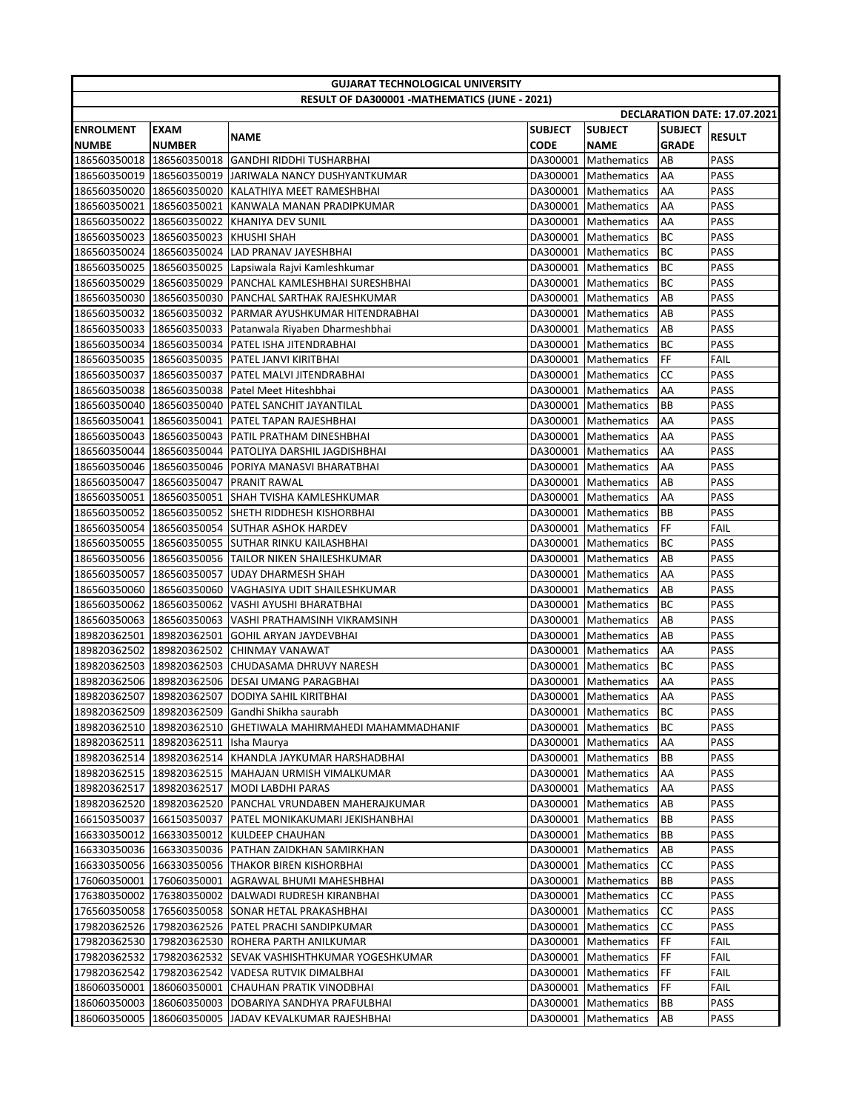| <b>GUJARAT TECHNOLOGICAL UNIVERSITY</b>       |               |                                                                                                           |                |                                            |                 |                              |
|-----------------------------------------------|---------------|-----------------------------------------------------------------------------------------------------------|----------------|--------------------------------------------|-----------------|------------------------------|
| RESULT OF DA300001 -MATHEMATICS (JUNE - 2021) |               |                                                                                                           |                |                                            |                 |                              |
|                                               |               |                                                                                                           |                |                                            |                 | DECLARATION DATE: 17.07.2021 |
| <b>ENROLMENT</b>                              | <b>EXAM</b>   | <b>NAME</b>                                                                                               | <b>SUBJECT</b> | <b>SUBJECT</b>                             | <b>SUBJECT</b>  | <b>RESULT</b>                |
| <b>NUMBE</b>                                  | <b>NUMBER</b> |                                                                                                           | <b>CODE</b>    | <b>NAME</b>                                | <b>GRADE</b>    |                              |
|                                               |               | 186560350018   186560350018 GANDHI RIDDHI TUSHARBHAI                                                      |                | DA300001   Mathematics                     | <b>AB</b>       | <b>PASS</b>                  |
|                                               |               | 186560350019 186560350019 JARIWALA NANCY DUSHYANTKUMAR                                                    |                | DA300001 Mathematics                       | AA              | <b>PASS</b>                  |
|                                               |               | 186560350020 186560350020 KALATHIYA MEET RAMESHBHAI                                                       |                | DA300001 Mathematics                       | AA              | <b>PASS</b>                  |
|                                               |               | 186560350021 186560350021 KANWALA MANAN PRADIPKUMAR                                                       |                | DA300001   Mathematics                     | AA              | <b>PASS</b>                  |
|                                               |               | 186560350022 186560350022 KHANIYA DEV SUNIL                                                               |                | DA300001 Mathematics                       | AA              | PASS                         |
| 186560350023 186560350023 KHUSHI SHAH         |               |                                                                                                           |                | DA300001   Mathematics                     | BC              | PASS                         |
|                                               |               | 186560350024   186560350024   LAD PRANAV JAYESHBHAI                                                       |                | DA300001   Mathematics                     | BC              | PASS                         |
|                                               |               | 186560350025   186560350025   Lapsiwala Rajvi Kamleshkumar                                                |                | DA300001   Mathematics                     | <b>BC</b>       | <b>PASS</b>                  |
|                                               |               | 186560350029 186560350029 PANCHAL KAMLESHBHAI SURESHBHAI                                                  |                | DA300001 Mathematics                       | BC              | <b>PASS</b>                  |
|                                               |               | 186560350030 186560350030 PANCHAL SARTHAK RAJESHKUMAR                                                     |                | DA300001 Mathematics                       | AB              | <b>PASS</b>                  |
|                                               |               | 186560350032 186560350032 PARMAR AYUSHKUMAR HITENDRABHAI                                                  |                | DA300001 Mathematics                       | AB              | PASS                         |
|                                               |               | 186560350033   186560350033   Patanwala Riyaben Dharmeshbhai                                              |                | DA300001 Mathematics                       | AB              | PASS                         |
|                                               |               | 186560350034   186560350034   PATEL ISHA JITENDRABHAI                                                     |                | DA300001   Mathematics                     | <b>BC</b>       | <b>PASS</b>                  |
|                                               |               | 186560350035 186560350035 PATEL JANVI KIRITBHAI                                                           |                | DA300001 Mathematics                       | FF              | <b>FAIL</b>                  |
|                                               |               | 186560350037   186560350037   PATEL MALVI JITENDRABHAI                                                    |                | DA300001 Mathematics                       | <b>CC</b>       | PASS                         |
|                                               |               | 186560350038 186560350038 Patel Meet Hiteshbhai                                                           |                | DA300001 Mathematics                       | AA              | <b>PASS</b>                  |
|                                               |               | 186560350040   186560350040   PATEL SANCHIT JAYANTILAL                                                    |                | DA300001 Mathematics                       | BB              | PASS                         |
|                                               |               | 186560350041  186560350041   PATEL TAPAN RAJESHBHAI                                                       |                | DA300001 Mathematics                       | AA              | PASS                         |
|                                               |               | 186560350043   186560350043   PATIL PRATHAM DINESHBHAI                                                    |                | DA300001 Mathematics                       | AA              | <b>PASS</b>                  |
|                                               |               | 186560350044 186560350044 PATOLIYA DARSHIL JAGDISHBHAI                                                    |                | DA300001   Mathematics                     | AA              | <b>PASS</b>                  |
|                                               |               | 186560350046 186560350046 PORIYA MANASVI BHARATBHAI                                                       |                | DA300001   Mathematics                     | AA              | <b>PASS</b>                  |
| 186560350047   186560350047   PRANIT RAWAL    |               |                                                                                                           |                | DA300001   Mathematics                     | AB              | PASS                         |
|                                               |               | 186560350051   186560350051   SHAH TVISHA KAMLESHKUMAR                                                    |                | DA300001 Mathematics                       | AA              | PASS                         |
|                                               |               | 186560350052 186560350052 SHETH RIDDHESH KISHORBHAI                                                       |                | DA300001   Mathematics                     | BB              | <b>PASS</b>                  |
|                                               |               | 186560350054 186560350054 SUTHAR ASHOK HARDEV                                                             |                | DA300001   Mathematics                     | FF              | <b>FAIL</b>                  |
|                                               |               | 186560350055 186560350055 SUTHAR RINKU KAILASHBHAI                                                        |                | DA300001 Mathematics                       | BC              | PASS                         |
|                                               |               | 186560350056 186560350056 TAILOR NIKEN SHAILESHKUMAR                                                      |                | DA300001 Mathematics                       | AB              | PASS                         |
|                                               |               | 186560350057   186560350057   UDAY DHARMESH SHAH                                                          |                | DA300001 Mathematics                       | AA              | PASS                         |
|                                               |               | 186560350060  186560350060  VAGHASIYA UDIT SHAILESHKUMAR                                                  |                | DA300001 Mathematics                       | AB              | PASS                         |
|                                               |               | 186560350062   186560350062   VASHI AYUSHI BHARATBHAI                                                     |                | DA300001 Mathematics                       | BC              | <b>PASS</b>                  |
|                                               |               | 186560350063 186560350063 VASHI PRATHAMSINH VIKRAMSINH                                                    |                | DA300001 Mathematics                       | AB              | <b>PASS</b>                  |
|                                               |               | 189820362501 189820362501 GOHIL ARYAN JAYDEVBHAI                                                          |                | DA300001 Mathematics                       | AB              | <b>PASS</b>                  |
|                                               |               | 189820362502 189820362502 CHINMAY VANAWAT                                                                 |                | DA300001 Mathematics                       | AA              | PASS                         |
|                                               |               | 189820362503  189820362503  CHUDASAMA DHRUVY NARESH                                                       |                | DA300001   Mathematics                     | BC              | PASS                         |
|                                               |               | 189820362506   189820362506   DESAI UMANG PARAGBHAI                                                       |                | DA300001   Mathematics                     | AA              | <b>PASS</b>                  |
|                                               |               | 189820362507 189820362507 DODIYA SAHIL KIRITBHAI                                                          |                | DA300001 Mathematics                       | <b>AA</b>       | PASS                         |
|                                               |               | 189820362509 189820362509 Gandhi Shikha saurabh                                                           |                | DA300001 Mathematics                       | BC              | <b>PASS</b>                  |
|                                               |               | 189820362510 189820362510 GHETIWALA MAHIRMAHEDI MAHAMMADHANIF                                             |                | DA300001 Mathematics                       | BC              | <b>PASS</b>                  |
| 189820362511 189820362511   Isha Maurya       |               |                                                                                                           |                | DA300001 Mathematics                       | AA              | PASS                         |
|                                               |               | 189820362514 189820362514 KHANDLA JAYKUMAR HARSHADBHAI                                                    |                | DA300001 Mathematics                       | BB              | PASS                         |
|                                               |               | 189820362515   189820362515   MAHAJAN URMISH VIMALKUMAR                                                   |                | DA300001 Mathematics                       | AA              | PASS                         |
|                                               |               | 189820362517 189820362517 MODI LABDHI PARAS                                                               |                | DA300001 Mathematics                       | AA              | PASS                         |
|                                               |               | 189820362520 189820362520 PANCHAL VRUNDABEN MAHERAJKUMAR                                                  | DA300001       | Mathematics                                | AB              | PASS                         |
| 166150350037 166150350037                     |               | PATEL MONIKAKUMARI JEKISHANBHAI                                                                           | DA300001       | Mathematics                                | BB              | PASS                         |
|                                               |               | 166330350012 166330350012 KULDEEP CHAUHAN                                                                 | DA300001       | Mathematics                                | BB              | PASS                         |
|                                               |               | 166330350036 166330350036 PATHAN ZAIDKHAN SAMIRKHAN                                                       | DA300001       | Mathematics                                | AB<br><b>CC</b> | PASS                         |
|                                               |               | 166330350056 166330350056 THAKOR BIREN KISHORBHAI<br>176060350001 176060350001 AGRAWAL BHUMI MAHESHBHAI   | DA300001       | DA300001 Mathematics                       | <b>BB</b>       | PASS<br>PASS                 |
|                                               |               | 176380350002 176380350002 DALWADI RUDRESH KIRANBHAI                                                       |                | Mathematics<br>DA300001 Mathematics        | <b>CC</b>       | PASS                         |
|                                               |               | 176560350058 176560350058 SONAR HETAL PRAKASHBHAI                                                         |                | DA300001 Mathematics                       | CC              | PASS                         |
|                                               |               |                                                                                                           |                |                                            | CC              |                              |
|                                               |               | 179820362526  179820362526   PATEL PRACHI SANDIPKUMAR<br>179820362530 179820362530 ROHERA PARTH ANILKUMAR | DA300001       | <b>Mathematics</b><br>DA300001 Mathematics | FF              | PASS<br>FAIL                 |
|                                               |               | 179820362532 179820362532 SEVAK VASHISHTHKUMAR YOGESHKUMAR                                                |                | DA300001 Mathematics                       | FF              | FAIL                         |
|                                               |               | 179820362542 179820362542 VADESA RUTVIK DIMALBHAI                                                         | DA300001       | Mathematics                                | FF              | FAIL                         |
| 186060350001 186060350001                     |               | <b>CHAUHAN PRATIK VINODBHAI</b>                                                                           | DA300001       | Mathematics                                | FF              | FAIL                         |
|                                               |               | 186060350003 186060350003 DOBARIYA SANDHYA PRAFULBHAI                                                     | DA300001       | Mathematics                                | BB              | PASS                         |
|                                               |               | 186060350005   186060350005   JADAV KEVALKUMAR RAJESHBHAI                                                 | DA300001       | Mathematics                                | AB              | PASS                         |
|                                               |               |                                                                                                           |                |                                            |                 |                              |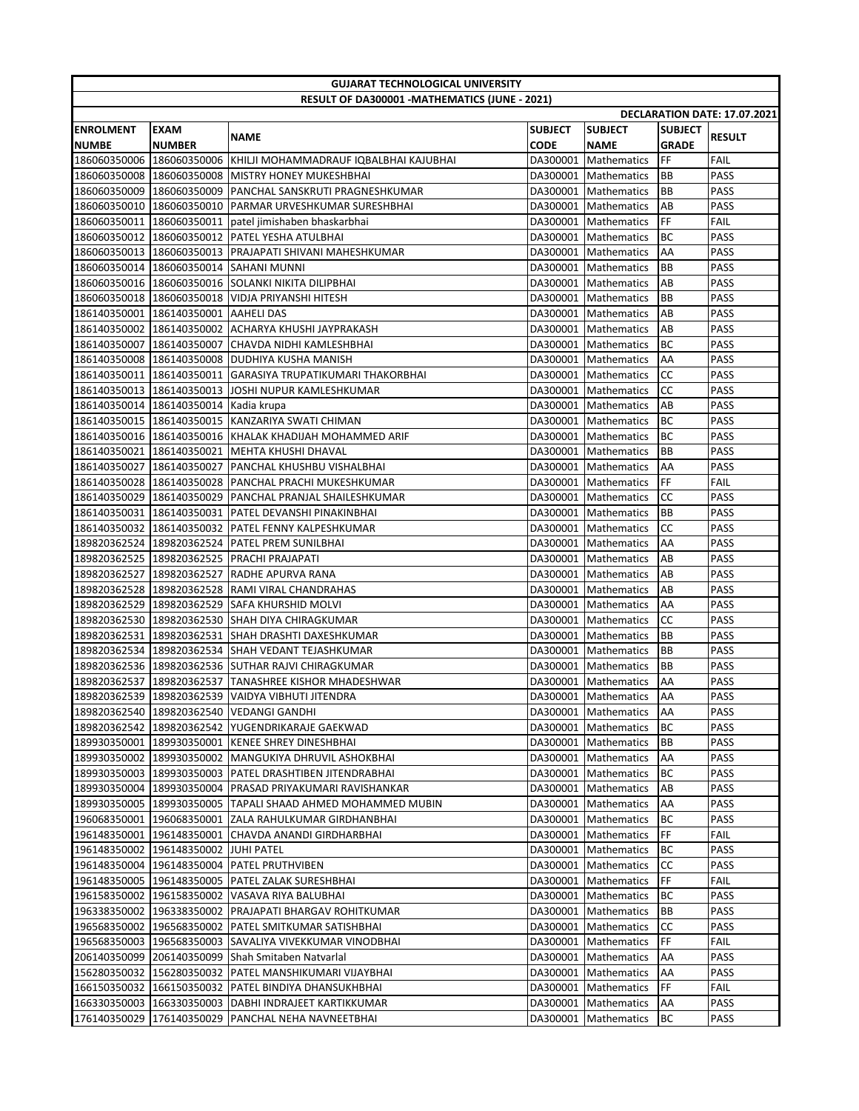| <b>GUJARAT TECHNOLOGICAL UNIVERSITY</b>   |               |                                                                  |                |                        |                |                              |
|-------------------------------------------|---------------|------------------------------------------------------------------|----------------|------------------------|----------------|------------------------------|
|                                           |               | RESULT OF DA300001 -MATHEMATICS (JUNE - 2021)                    |                |                        |                |                              |
|                                           |               |                                                                  |                |                        |                | DECLARATION DATE: 17.07.2021 |
| <b>ENROLMENT</b>                          | <b>EXAM</b>   | <b>NAME</b>                                                      | <b>SUBJECT</b> | <b>SUBJECT</b>         | <b>SUBJECT</b> | <b>RESULT</b>                |
| <b>NUMBE</b>                              | <b>NUMBER</b> |                                                                  | <b>CODE</b>    | <b>NAME</b>            | <b>GRADE</b>   |                              |
|                                           |               | 186060350006 186060350006 KHILJI MOHAMMADRAUF IQBALBHAI KAJUBHAI |                | DA300001   Mathematics | FF             | <b>FAIL</b>                  |
|                                           |               | 186060350008 186060350008 MISTRY HONEY MUKESHBHAI                |                | DA300001 Mathematics   | BB             | PASS                         |
|                                           |               | 186060350009 186060350009 PANCHAL SANSKRUTI PRAGNESHKUMAR        |                | DA300001 Mathematics   | BB             | <b>PASS</b>                  |
|                                           |               | 186060350010 186060350010 PARMAR URVESHKUMAR SURESHBHAI          |                | DA300001 Mathematics   | AB             | <b>PASS</b>                  |
|                                           |               | 186060350011   186060350011   patel jimishaben bhaskarbhai       |                | DA300001 Mathematics   | FF             | FAIL                         |
|                                           |               | 186060350012  186060350012   PATEL YESHA ATULBHAI                |                | DA300001 Mathematics   | BC             | PASS                         |
|                                           |               | 186060350013 186060350013 PRAJAPATI SHIVANI MAHESHKUMAR          |                | DA300001 Mathematics   | AA             | <b>PASS</b>                  |
|                                           |               | 186060350014 186060350014 SAHANI MUNNI                           |                | DA300001 Mathematics   | BB             | <b>PASS</b>                  |
|                                           |               | 186060350016 186060350016 SOLANKI NIKITA DILIPBHAI               |                | DA300001 Mathematics   | AB             | <b>PASS</b>                  |
|                                           |               | 186060350018   186060350018   VIDJA PRIYANSHI HITESH             |                | DA300001 Mathematics   | BB             | PASS                         |
| 186140350001   186140350001   AAHELI DAS  |               |                                                                  |                | DA300001 Mathematics   | AB             | PASS                         |
|                                           |               | 186140350002   186140350002   ACHARYA KHUSHI JAYPRAKASH          |                | DA300001 Mathematics   | AB             | <b>PASS</b>                  |
|                                           |               | 186140350007 186140350007 CHAVDA NIDHI KAMLESHBHAI               |                | DA300001   Mathematics | BC             | <b>PASS</b>                  |
|                                           |               | 186140350008 186140350008 DUDHIYA KUSHA MANISH                   |                | DA300001 Mathematics   | AA             | <b>PASS</b>                  |
|                                           |               | 186140350011 186140350011 GARASIYA TRUPATIKUMARI THAKORBHAI      |                | DA300001 Mathematics   | <b>CC</b>      | <b>PASS</b>                  |
|                                           |               | 186140350013   186140350013   JOSHI NUPUR KAMLESHKUMAR           |                | DA300001 Mathematics   | <b>CC</b>      | PASS                         |
| 186140350014   186140350014   Kadia krupa |               |                                                                  |                | DA300001 Mathematics   | AB             | PASS                         |
|                                           |               | 186140350015 186140350015 KANZARIYA SWATI CHIMAN                 |                | DA300001 Mathematics   | BC             | <b>PASS</b>                  |
|                                           |               | 186140350016 186140350016 KHALAK KHADIJAH MOHAMMED ARIF          |                | DA300001   Mathematics | BC             | <b>PASS</b>                  |
|                                           |               | 186140350021 186140350021 MEHTA KHUSHI DHAVAL                    |                | DA300001 Mathematics   | BB             | PASS                         |
|                                           |               | 186140350027 186140350027 PANCHAL KHUSHBU VISHALBHAI             |                | DA300001 Mathematics   | AA             | PASS                         |
|                                           |               | 186140350028   186140350028   PANCHAL PRACHI MUKESHKUMAR         |                | DA300001 Mathematics   | FF             | FAIL                         |
|                                           |               | 186140350029  186140350029  PANCHAL PRANJAL SHAILESHKUMAR        |                | DA300001 Mathematics   | <b>CC</b>      | <b>PASS</b>                  |
|                                           |               | 186140350031   186140350031   PATEL DEVANSHI PINAKINBHAI         |                | DA300001   Mathematics | <b>BB</b>      | PASS                         |
|                                           |               | 186140350032 186140350032 PATEL FENNY KALPESHKUMAR               |                | DA300001 Mathematics   | <b>CC</b>      | <b>PASS</b>                  |
|                                           |               | 189820362524 189820362524 PATEL PREM SUNILBHAI                   |                | DA300001   Mathematics | AA             | <b>PASS</b>                  |
|                                           |               | 189820362525   189820362525   PRACHI PRAJAPATI                   |                | DA300001 Mathematics   | AB             | <b>PASS</b>                  |
|                                           |               | 189820362527  189820362527  RADHE APURVA RANA                    |                | DA300001 Mathematics   | AB             | PASS                         |
|                                           |               | 189820362528   189820362528   RAMI VIRAL CHANDRAHAS              |                | DA300001 Mathematics   | AB             | <b>PASS</b>                  |
|                                           |               | 189820362529 189820362529 SAFA KHURSHID MOLVI                    |                | DA300001 Mathematics   | AA             | <b>PASS</b>                  |
|                                           |               | 189820362530 189820362530 SHAH DIYA CHIRAGKUMAR                  |                | DA300001 Mathematics   | <b>CC</b>      | <b>PASS</b>                  |
|                                           |               | 189820362531   189820362531   SHAH DRASHTI DAXESHKUMAR           |                | DA300001 Mathematics   | BB             | <b>PASS</b>                  |
|                                           |               | 189820362534   189820362534   SHAH VEDANT TEJASHKUMAR            |                | DA300001 Mathematics   | BB             | <b>PASS</b>                  |
|                                           |               | 189820362536 189820362536 SUTHAR RAJVI CHIRAGKUMAR               |                | DA300001 Mathematics   | BB             | PASS                         |
|                                           |               | 189820362537   189820362537   TANASHREE KISHOR MHADESHWAR        |                | DA300001   Mathematics | AA             | <b>PASS</b>                  |
|                                           |               | 189820362539 189820362539 VAIDYA VIBHUTI JITENDRA                |                | DA300001 Mathematics   | AA             | <b>PASS</b>                  |
|                                           |               | 189820362540 189820362540 VEDANGI GANDHI                         |                | DA300001 Mathematics   | <b>AA</b>      | <b>PASS</b>                  |
|                                           |               | 189820362542 189820362542 YUGENDRIKARAJE GAEKWAD                 |                | DA300001 Mathematics   | BC             | PASS                         |
|                                           |               | 189930350001   189930350001   KENEE SHREY DINESHBHAI             |                | DA300001 Mathematics   | BB             | PASS                         |
|                                           |               | 189930350002 189930350002 MANGUKIYA DHRUVIL ASHOKBHAI            |                | DA300001 Mathematics   | AA             | PASS                         |
|                                           |               | 189930350003 189930350003 PATEL DRASHTIBEN JITENDRABHAI          |                | DA300001 Mathematics   | BC             | PASS                         |
|                                           |               | 189930350004 189930350004 PRASAD PRIYAKUMARI RAVISHANKAR         | DA300001       | Mathematics            | AB             | PASS                         |
|                                           |               | 189930350005   189930350005   TAPALI SHAAD AHMED MOHAMMED MUBIN  |                | DA300001 Mathematics   | AA             | <b>PASS</b>                  |
|                                           |               | 196068350001   196068350001   ZALA RAHULKUMAR GIRDHANBHAI        |                | DA300001 Mathematics   | BC             | PASS                         |
|                                           |               | 196148350001   196148350001   CHAVDA ANANDI GIRDHARBHAI          | DA300001       | Mathematics            | FF             | FAIL                         |
| 196148350002 196148350002 JUHI PATEL      |               |                                                                  | DA300001       | Mathematics            | BC             | PASS                         |
|                                           |               | 196148350004 196148350004 PATEL PRUTHVIBEN                       |                | DA300001 Mathematics   | <b>CC</b>      | PASS                         |
| 196148350005 196148350005                 |               | PATEL ZALAK SURESHBHAI                                           | DA300001       | <b>Mathematics</b>     | FF             | FAIL                         |
|                                           |               | 196158350002 196158350002 VASAVA RIYA BALUBHAI                   |                | DA300001 Mathematics   | BC             | PASS                         |
|                                           |               | 196338350002 196338350002 PRAJAPATI BHARGAV ROHITKUMAR           | DA300001       | Mathematics            | BB             | PASS                         |
|                                           |               | 196568350002   196568350002   PATEL SMITKUMAR SATISHBHAI         | DA300001       | Mathematics            | CC             | PASS                         |
|                                           |               | 196568350003 196568350003 SAVALIYA VIVEKKUMAR VINODBHAI          |                | DA300001 Mathematics   | FF             | FAIL                         |
|                                           |               | 206140350099 206140350099 Shah Smitaben Natvarlal                | DA300001       | Mathematics            | AA             | <b>PASS</b>                  |
| 156280350032 156280350032                 |               | PATEL MANSHIKUMARI VIJAYBHAI                                     | DA300001       | <b>Mathematics</b>     | AA             | <b>PASS</b>                  |
|                                           |               | 166150350032 166150350032 PATEL BINDIYA DHANSUKHBHAI             |                | DA300001   Mathematics | FF             | FAIL                         |
|                                           |               | 166330350003   166330350003   DABHI INDRAJEET KARTIKKUMAR        | DA300001       | Mathematics            | AA             | PASS                         |
|                                           |               | 176140350029 176140350029 PANCHAL NEHA NAVNEETBHAI               |                | DA300001 Mathematics   | BC             | PASS                         |
|                                           |               |                                                                  |                |                        |                |                              |